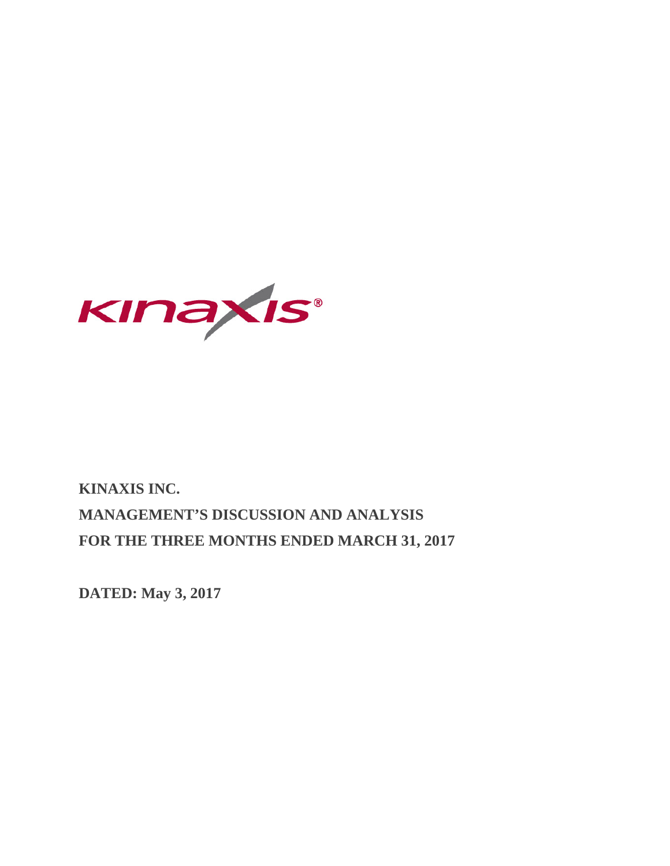

# **KINAXIS INC. MANAGEMENT'S DISCUSSION AND ANALYSIS FOR THE THREE MONTHS ENDED MARCH 31, 2017**

**DATED: May 3, 2017**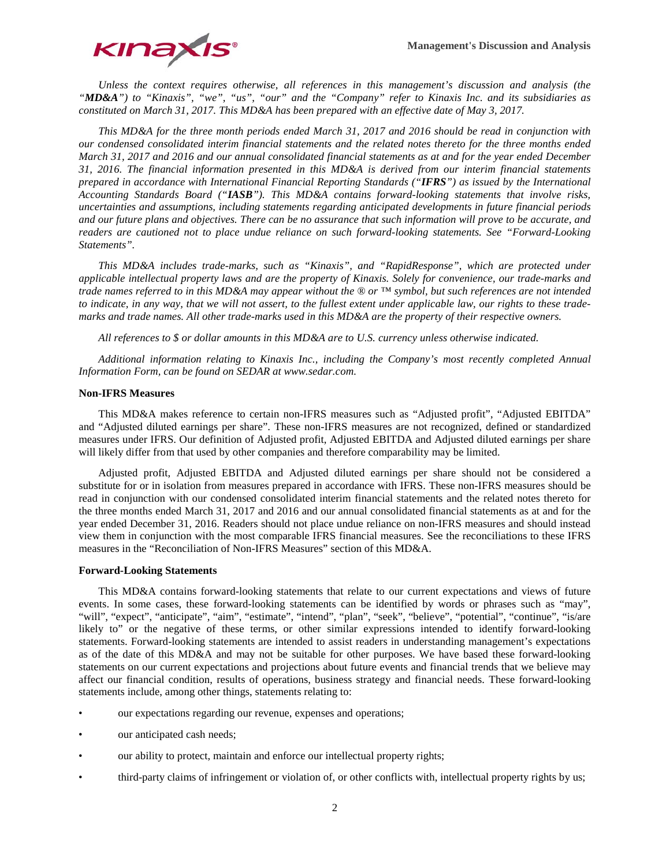

*Unless the context requires otherwise, all references in this management's discussion and analysis (the "MD&A") to "Kinaxis", "we", "us", "our" and the "Company" refer to Kinaxis Inc. and its subsidiaries as constituted on March 31, 2017. This MD&A has been prepared with an effective date of May 3, 2017.*

*This MD&A for the three month periods ended March 31, 2017 and 2016 should be read in conjunction with our condensed consolidated interim financial statements and the related notes thereto for the three months ended March 31, 2017 and 2016 and our annual consolidated financial statements as at and for the year ended December 31, 2016. The financial information presented in this MD&A is derived from our interim financial statements prepared in accordance with International Financial Reporting Standards ("IFRS") as issued by the International Accounting Standards Board ("IASB"). This MD&A contains forward-looking statements that involve risks, uncertainties and assumptions, including statements regarding anticipated developments in future financial periods and our future plans and objectives. There can be no assurance that such information will prove to be accurate, and readers are cautioned not to place undue reliance on such forward-looking statements. See "Forward-Looking Statements".*

*This MD&A includes trade-marks, such as "Kinaxis", and "RapidResponse", which are protected under applicable intellectual property laws and are the property of Kinaxis. Solely for convenience, our trade-marks and trade names referred to in this MD&A may appear without the ® or ™ symbol, but such references are not intended to indicate, in any way, that we will not assert, to the fullest extent under applicable law, our rights to these trademarks and trade names. All other trade-marks used in this MD&A are the property of their respective owners.*

*All references to \$ or dollar amounts in this MD&A are to U.S. currency unless otherwise indicated.* 

*Additional information relating to Kinaxis Inc., including the Company's most recently completed Annual Information Form, can be found on SEDAR at www.sedar.com.*

## **Non-IFRS Measures**

This MD&A makes reference to certain non-IFRS measures such as "Adjusted profit", "Adjusted EBITDA" and "Adjusted diluted earnings per share". These non-IFRS measures are not recognized, defined or standardized measures under IFRS. Our definition of Adjusted profit, Adjusted EBITDA and Adjusted diluted earnings per share will likely differ from that used by other companies and therefore comparability may be limited.

Adjusted profit, Adjusted EBITDA and Adjusted diluted earnings per share should not be considered a substitute for or in isolation from measures prepared in accordance with IFRS. These non-IFRS measures should be read in conjunction with our condensed consolidated interim financial statements and the related notes thereto for the three months ended March 31, 2017 and 2016 and our annual consolidated financial statements as at and for the year ended December 31, 2016. Readers should not place undue reliance on non-IFRS measures and should instead view them in conjunction with the most comparable IFRS financial measures. See the reconciliations to these IFRS measures in the "Reconciliation of Non-IFRS Measures" section of this MD&A.

## **Forward-Looking Statements**

This MD&A contains forward-looking statements that relate to our current expectations and views of future events. In some cases, these forward-looking statements can be identified by words or phrases such as "may", "will", "expect", "anticipate", "aim", "estimate", "intend", "plan", "seek", "believe", "potential", "continue", "is/are likely to" or the negative of these terms, or other similar expressions intended to identify forward-looking statements. Forward-looking statements are intended to assist readers in understanding management's expectations as of the date of this MD&A and may not be suitable for other purposes. We have based these forward-looking statements on our current expectations and projections about future events and financial trends that we believe may affect our financial condition, results of operations, business strategy and financial needs. These forward-looking statements include, among other things, statements relating to:

- our expectations regarding our revenue, expenses and operations;
- our anticipated cash needs;
- our ability to protect, maintain and enforce our intellectual property rights;
- third-party claims of infringement or violation of, or other conflicts with, intellectual property rights by us;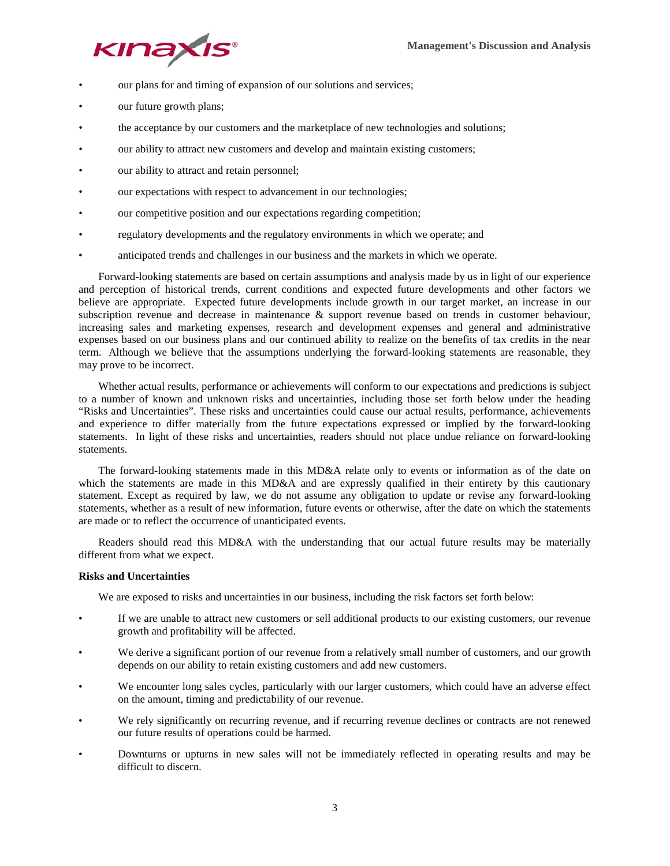

- our plans for and timing of expansion of our solutions and services;
- our future growth plans;
- the acceptance by our customers and the marketplace of new technologies and solutions;
- our ability to attract new customers and develop and maintain existing customers;
- our ability to attract and retain personnel;
- our expectations with respect to advancement in our technologies;
- our competitive position and our expectations regarding competition;
- regulatory developments and the regulatory environments in which we operate; and
- anticipated trends and challenges in our business and the markets in which we operate.

Forward-looking statements are based on certain assumptions and analysis made by us in light of our experience and perception of historical trends, current conditions and expected future developments and other factors we believe are appropriate. Expected future developments include growth in our target market, an increase in our subscription revenue and decrease in maintenance & support revenue based on trends in customer behaviour, increasing sales and marketing expenses, research and development expenses and general and administrative expenses based on our business plans and our continued ability to realize on the benefits of tax credits in the near term. Although we believe that the assumptions underlying the forward-looking statements are reasonable, they may prove to be incorrect.

Whether actual results, performance or achievements will conform to our expectations and predictions is subject to a number of known and unknown risks and uncertainties, including those set forth below under the heading "Risks and Uncertainties". These risks and uncertainties could cause our actual results, performance, achievements and experience to differ materially from the future expectations expressed or implied by the forward-looking statements. In light of these risks and uncertainties, readers should not place undue reliance on forward-looking statements.

The forward-looking statements made in this MD&A relate only to events or information as of the date on which the statements are made in this MD&A and are expressly qualified in their entirety by this cautionary statement. Except as required by law, we do not assume any obligation to update or revise any forward-looking statements, whether as a result of new information, future events or otherwise, after the date on which the statements are made or to reflect the occurrence of unanticipated events.

Readers should read this MD&A with the understanding that our actual future results may be materially different from what we expect.

# **Risks and Uncertainties**

We are exposed to risks and uncertainties in our business, including the risk factors set forth below:

- If we are unable to attract new customers or sell additional products to our existing customers, our revenue growth and profitability will be affected.
- We derive a significant portion of our revenue from a relatively small number of customers, and our growth depends on our ability to retain existing customers and add new customers.
- We encounter long sales cycles, particularly with our larger customers, which could have an adverse effect on the amount, timing and predictability of our revenue.
- We rely significantly on recurring revenue, and if recurring revenue declines or contracts are not renewed our future results of operations could be harmed.
- Downturns or upturns in new sales will not be immediately reflected in operating results and may be difficult to discern.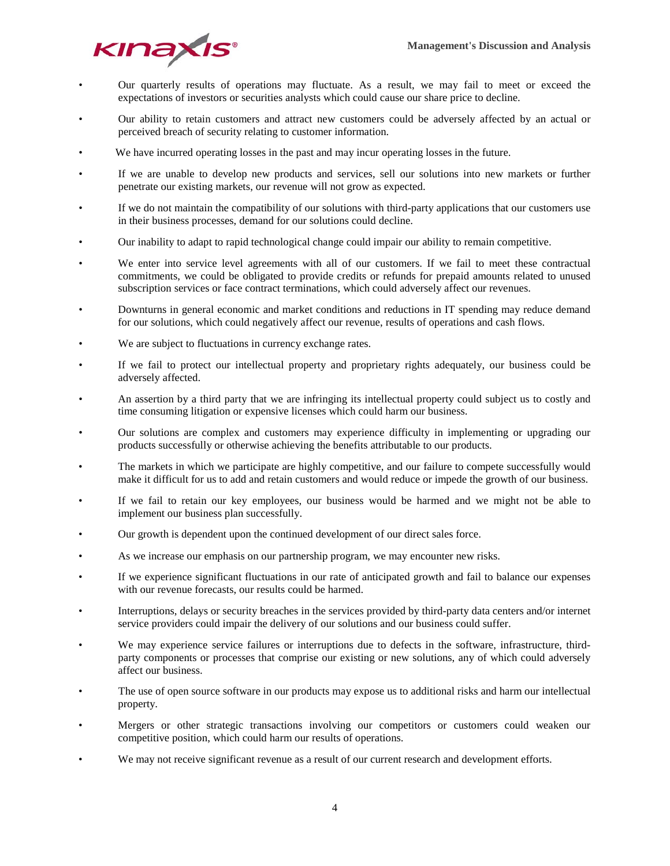

- Our quarterly results of operations may fluctuate. As a result, we may fail to meet or exceed the expectations of investors or securities analysts which could cause our share price to decline.
- Our ability to retain customers and attract new customers could be adversely affected by an actual or perceived breach of security relating to customer information.
- We have incurred operating losses in the past and may incur operating losses in the future.
- If we are unable to develop new products and services, sell our solutions into new markets or further penetrate our existing markets, our revenue will not grow as expected.
- If we do not maintain the compatibility of our solutions with third-party applications that our customers use in their business processes, demand for our solutions could decline.
- Our inability to adapt to rapid technological change could impair our ability to remain competitive.
- We enter into service level agreements with all of our customers. If we fail to meet these contractual commitments, we could be obligated to provide credits or refunds for prepaid amounts related to unused subscription services or face contract terminations, which could adversely affect our revenues.
- Downturns in general economic and market conditions and reductions in IT spending may reduce demand for our solutions, which could negatively affect our revenue, results of operations and cash flows.
- We are subject to fluctuations in currency exchange rates.
- If we fail to protect our intellectual property and proprietary rights adequately, our business could be adversely affected.
- An assertion by a third party that we are infringing its intellectual property could subject us to costly and time consuming litigation or expensive licenses which could harm our business.
- Our solutions are complex and customers may experience difficulty in implementing or upgrading our products successfully or otherwise achieving the benefits attributable to our products.
- The markets in which we participate are highly competitive, and our failure to compete successfully would make it difficult for us to add and retain customers and would reduce or impede the growth of our business.
- If we fail to retain our key employees, our business would be harmed and we might not be able to implement our business plan successfully.
- Our growth is dependent upon the continued development of our direct sales force.
- As we increase our emphasis on our partnership program, we may encounter new risks.
- If we experience significant fluctuations in our rate of anticipated growth and fail to balance our expenses with our revenue forecasts, our results could be harmed.
- Interruptions, delays or security breaches in the services provided by third-party data centers and/or internet service providers could impair the delivery of our solutions and our business could suffer.
- We may experience service failures or interruptions due to defects in the software, infrastructure, thirdparty components or processes that comprise our existing or new solutions, any of which could adversely affect our business.
- The use of open source software in our products may expose us to additional risks and harm our intellectual property.
- Mergers or other strategic transactions involving our competitors or customers could weaken our competitive position, which could harm our results of operations.
- We may not receive significant revenue as a result of our current research and development efforts.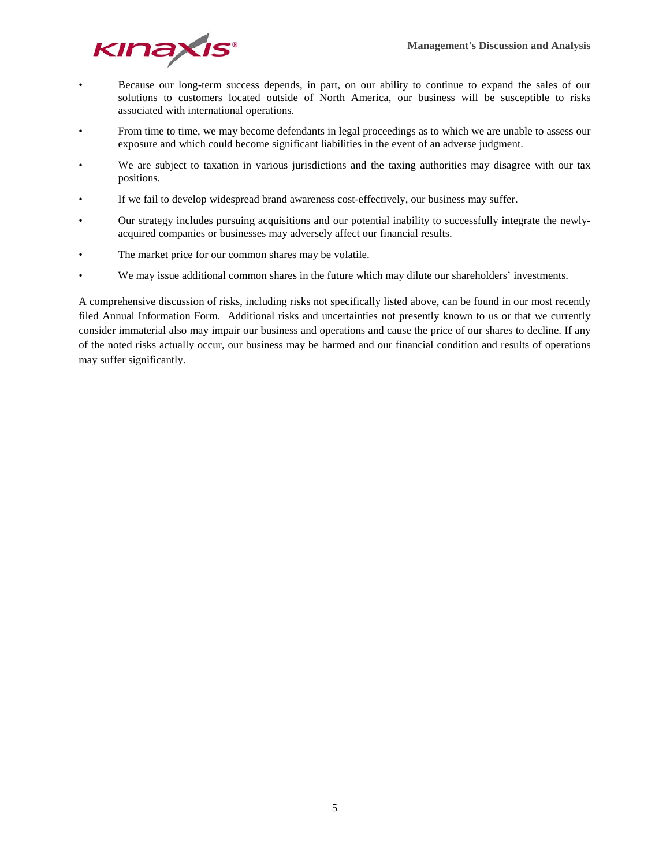

- Because our long-term success depends, in part, on our ability to continue to expand the sales of our solutions to customers located outside of North America, our business will be susceptible to risks associated with international operations.
- From time to time, we may become defendants in legal proceedings as to which we are unable to assess our exposure and which could become significant liabilities in the event of an adverse judgment.
- We are subject to taxation in various jurisdictions and the taxing authorities may disagree with our tax positions.
- If we fail to develop widespread brand awareness cost-effectively, our business may suffer.
- Our strategy includes pursuing acquisitions and our potential inability to successfully integrate the newlyacquired companies or businesses may adversely affect our financial results.
- The market price for our common shares may be volatile.
- We may issue additional common shares in the future which may dilute our shareholders' investments.

A comprehensive discussion of risks, including risks not specifically listed above, can be found in our most recently filed Annual Information Form. Additional risks and uncertainties not presently known to us or that we currently consider immaterial also may impair our business and operations and cause the price of our shares to decline. If any of the noted risks actually occur, our business may be harmed and our financial condition and results of operations may suffer significantly.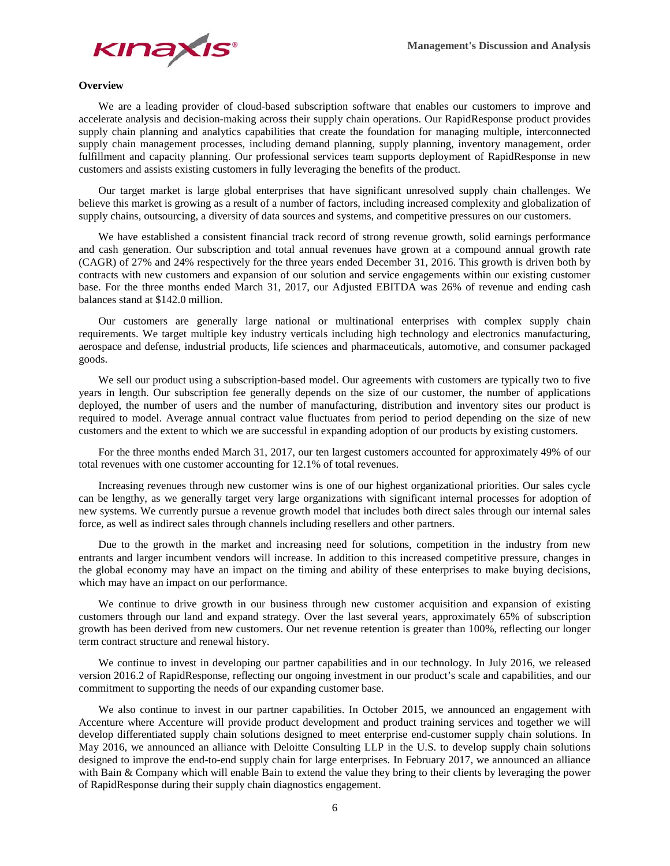

# **Overview**

We are a leading provider of cloud-based subscription software that enables our customers to improve and accelerate analysis and decision-making across their supply chain operations. Our RapidResponse product provides supply chain planning and analytics capabilities that create the foundation for managing multiple, interconnected supply chain management processes, including demand planning, supply planning, inventory management, order fulfillment and capacity planning. Our professional services team supports deployment of RapidResponse in new customers and assists existing customers in fully leveraging the benefits of the product.

Our target market is large global enterprises that have significant unresolved supply chain challenges. We believe this market is growing as a result of a number of factors, including increased complexity and globalization of supply chains, outsourcing, a diversity of data sources and systems, and competitive pressures on our customers.

We have established a consistent financial track record of strong revenue growth, solid earnings performance and cash generation. Our subscription and total annual revenues have grown at a compound annual growth rate (CAGR) of 27% and 24% respectively for the three years ended December 31, 2016. This growth is driven both by contracts with new customers and expansion of our solution and service engagements within our existing customer base. For the three months ended March 31, 2017, our Adjusted EBITDA was 26% of revenue and ending cash balances stand at \$142.0 million.

Our customers are generally large national or multinational enterprises with complex supply chain requirements. We target multiple key industry verticals including high technology and electronics manufacturing, aerospace and defense, industrial products, life sciences and pharmaceuticals, automotive, and consumer packaged goods.

We sell our product using a subscription-based model. Our agreements with customers are typically two to five years in length. Our subscription fee generally depends on the size of our customer, the number of applications deployed, the number of users and the number of manufacturing, distribution and inventory sites our product is required to model. Average annual contract value fluctuates from period to period depending on the size of new customers and the extent to which we are successful in expanding adoption of our products by existing customers.

For the three months ended March 31, 2017, our ten largest customers accounted for approximately 49% of our total revenues with one customer accounting for 12.1% of total revenues.

Increasing revenues through new customer wins is one of our highest organizational priorities. Our sales cycle can be lengthy, as we generally target very large organizations with significant internal processes for adoption of new systems. We currently pursue a revenue growth model that includes both direct sales through our internal sales force, as well as indirect sales through channels including resellers and other partners.

Due to the growth in the market and increasing need for solutions, competition in the industry from new entrants and larger incumbent vendors will increase. In addition to this increased competitive pressure, changes in the global economy may have an impact on the timing and ability of these enterprises to make buying decisions, which may have an impact on our performance.

We continue to drive growth in our business through new customer acquisition and expansion of existing customers through our land and expand strategy. Over the last several years, approximately 65% of subscription growth has been derived from new customers. Our net revenue retention is greater than 100%, reflecting our longer term contract structure and renewal history.

We continue to invest in developing our partner capabilities and in our technology. In July 2016, we released version 2016.2 of RapidResponse, reflecting our ongoing investment in our product's scale and capabilities, and our commitment to supporting the needs of our expanding customer base.

We also continue to invest in our partner capabilities. In October 2015, we announced an engagement with Accenture where Accenture will provide product development and product training services and together we will develop differentiated supply chain solutions designed to meet enterprise end-customer supply chain solutions. In May 2016, we announced an alliance with Deloitte Consulting LLP in the U.S. to develop supply chain solutions designed to improve the end-to-end supply chain for large enterprises. In February 2017, we announced an alliance with Bain & Company which will enable Bain to extend the value they bring to their clients by leveraging the power of RapidResponse during their supply chain diagnostics engagement.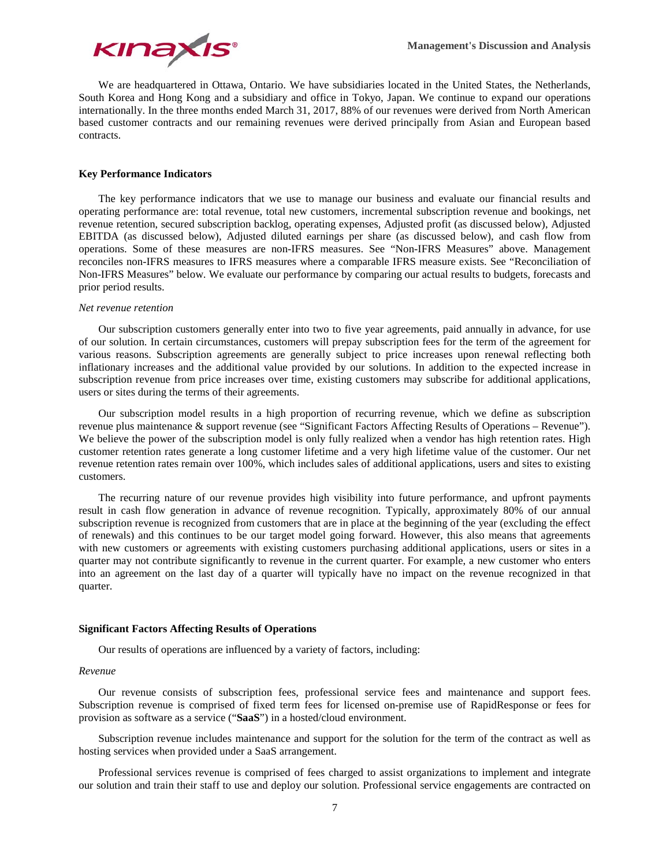

We are headquartered in Ottawa, Ontario. We have subsidiaries located in the United States, the Netherlands, South Korea and Hong Kong and a subsidiary and office in Tokyo, Japan. We continue to expand our operations internationally. In the three months ended March 31, 2017, 88% of our revenues were derived from North American based customer contracts and our remaining revenues were derived principally from Asian and European based contracts.

# **Key Performance Indicators**

The key performance indicators that we use to manage our business and evaluate our financial results and operating performance are: total revenue, total new customers, incremental subscription revenue and bookings, net revenue retention, secured subscription backlog, operating expenses, Adjusted profit (as discussed below), Adjusted EBITDA (as discussed below), Adjusted diluted earnings per share (as discussed below), and cash flow from operations. Some of these measures are non-IFRS measures. See "Non-IFRS Measures" above. Management reconciles non-IFRS measures to IFRS measures where a comparable IFRS measure exists. See "Reconciliation of Non-IFRS Measures" below. We evaluate our performance by comparing our actual results to budgets, forecasts and prior period results.

#### *Net revenue retention*

Our subscription customers generally enter into two to five year agreements, paid annually in advance, for use of our solution. In certain circumstances, customers will prepay subscription fees for the term of the agreement for various reasons. Subscription agreements are generally subject to price increases upon renewal reflecting both inflationary increases and the additional value provided by our solutions. In addition to the expected increase in subscription revenue from price increases over time, existing customers may subscribe for additional applications, users or sites during the terms of their agreements.

Our subscription model results in a high proportion of recurring revenue, which we define as subscription revenue plus maintenance & support revenue (see "Significant Factors Affecting Results of Operations – Revenue"). We believe the power of the subscription model is only fully realized when a vendor has high retention rates. High customer retention rates generate a long customer lifetime and a very high lifetime value of the customer. Our net revenue retention rates remain over 100%, which includes sales of additional applications, users and sites to existing customers.

The recurring nature of our revenue provides high visibility into future performance, and upfront payments result in cash flow generation in advance of revenue recognition. Typically, approximately 80% of our annual subscription revenue is recognized from customers that are in place at the beginning of the year (excluding the effect of renewals) and this continues to be our target model going forward. However, this also means that agreements with new customers or agreements with existing customers purchasing additional applications, users or sites in a quarter may not contribute significantly to revenue in the current quarter. For example, a new customer who enters into an agreement on the last day of a quarter will typically have no impact on the revenue recognized in that quarter.

#### **Significant Factors Affecting Results of Operations**

Our results of operations are influenced by a variety of factors, including:

## *Revenue*

Our revenue consists of subscription fees, professional service fees and maintenance and support fees. Subscription revenue is comprised of fixed term fees for licensed on-premise use of RapidResponse or fees for provision as software as a service ("**SaaS**") in a hosted/cloud environment.

Subscription revenue includes maintenance and support for the solution for the term of the contract as well as hosting services when provided under a SaaS arrangement.

Professional services revenue is comprised of fees charged to assist organizations to implement and integrate our solution and train their staff to use and deploy our solution. Professional service engagements are contracted on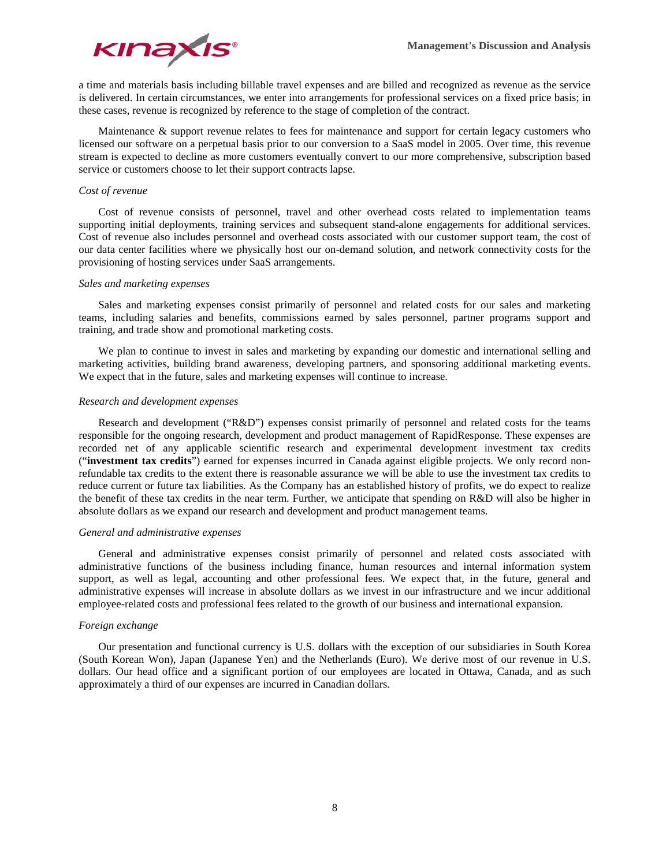

a time and materials basis including billable travel expenses and are billed and recognized as revenue as the service is delivered. In certain circumstances, we enter into arrangements for professional services on a fixed price basis; in these cases, revenue is recognized by reference to the stage of completion of the contract.

Maintenance & support revenue relates to fees for maintenance and support for certain legacy customers who licensed our software on a perpetual basis prior to our conversion to a SaaS model in 2005. Over time, this revenue stream is expected to decline as more customers eventually convert to our more comprehensive, subscription based service or customers choose to let their support contracts lapse.

## *Cost of revenue*

Cost of revenue consists of personnel, travel and other overhead costs related to implementation teams supporting initial deployments, training services and subsequent stand-alone engagements for additional services. Cost of revenue also includes personnel and overhead costs associated with our customer support team, the cost of our data center facilities where we physically host our on-demand solution, and network connectivity costs for the provisioning of hosting services under SaaS arrangements.

## *Sales and marketing expenses*

Sales and marketing expenses consist primarily of personnel and related costs for our sales and marketing teams, including salaries and benefits, commissions earned by sales personnel, partner programs support and training, and trade show and promotional marketing costs.

We plan to continue to invest in sales and marketing by expanding our domestic and international selling and marketing activities, building brand awareness, developing partners, and sponsoring additional marketing events. We expect that in the future, sales and marketing expenses will continue to increase.

## *Research and development expenses*

Research and development ("R&D") expenses consist primarily of personnel and related costs for the teams responsible for the ongoing research, development and product management of RapidResponse. These expenses are recorded net of any applicable scientific research and experimental development investment tax credits ("**investment tax credits**") earned for expenses incurred in Canada against eligible projects. We only record nonrefundable tax credits to the extent there is reasonable assurance we will be able to use the investment tax credits to reduce current or future tax liabilities. As the Company has an established history of profits, we do expect to realize the benefit of these tax credits in the near term. Further, we anticipate that spending on R&D will also be higher in absolute dollars as we expand our research and development and product management teams.

#### *General and administrative expenses*

General and administrative expenses consist primarily of personnel and related costs associated with administrative functions of the business including finance, human resources and internal information system support, as well as legal, accounting and other professional fees. We expect that, in the future, general and administrative expenses will increase in absolute dollars as we invest in our infrastructure and we incur additional employee-related costs and professional fees related to the growth of our business and international expansion.

## *Foreign exchange*

Our presentation and functional currency is U.S. dollars with the exception of our subsidiaries in South Korea (South Korean Won), Japan (Japanese Yen) and the Netherlands (Euro). We derive most of our revenue in U.S. dollars. Our head office and a significant portion of our employees are located in Ottawa, Canada, and as such approximately a third of our expenses are incurred in Canadian dollars.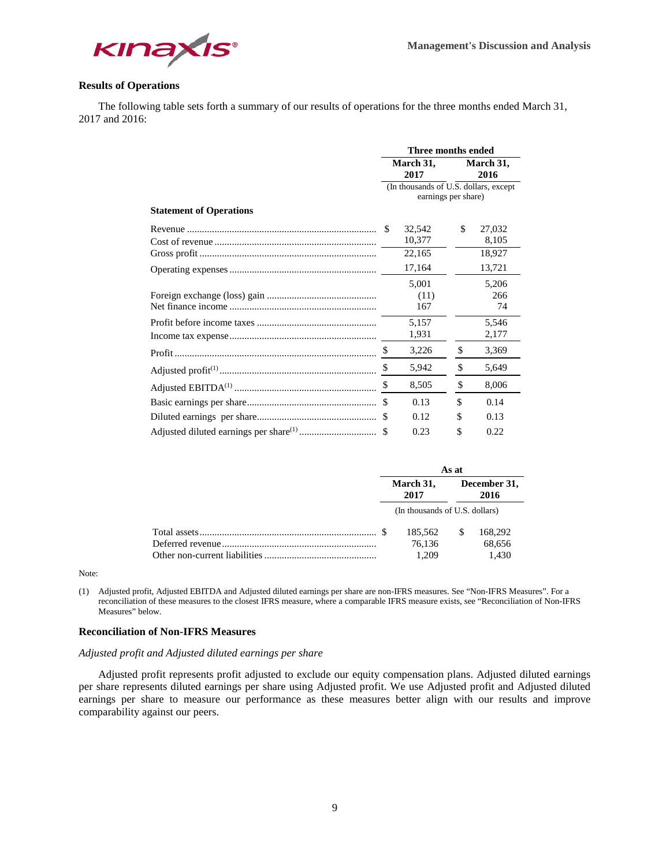

# **Results of Operations**

The following table sets forth a summary of our results of operations for the three months ended March 31, 2017 and 2016:

|                                | Three months ended |                                       |    |                   |  |  |
|--------------------------------|--------------------|---------------------------------------|----|-------------------|--|--|
|                                | March 31,<br>2017  |                                       |    | March 31,<br>2016 |  |  |
|                                |                    | (In thousands of U.S. dollars, except |    |                   |  |  |
|                                |                    | earnings per share)                   |    |                   |  |  |
| <b>Statement of Operations</b> |                    |                                       |    |                   |  |  |
|                                | -S                 | 32,542                                | \$ | 27,032            |  |  |
|                                |                    | 10,377                                |    | 8,105             |  |  |
|                                |                    | 22,165                                |    | 18,927            |  |  |
|                                |                    | 17,164                                |    | 13,721            |  |  |
|                                |                    | 5,001                                 |    | 5,206             |  |  |
|                                |                    | (11)                                  |    | 266               |  |  |
|                                |                    | 167                                   |    | 74                |  |  |
|                                |                    | 5,157                                 |    | 5,546             |  |  |
|                                |                    | 1,931                                 |    | 2,177             |  |  |
|                                | \$                 | 3,226                                 | \$ | 3,369             |  |  |
|                                | \$                 | 5,942                                 | \$ | 5,649             |  |  |
|                                | \$                 | 8,505                                 | \$ | 8,006             |  |  |
|                                | \$.                | 0.13                                  | \$ | 0.14              |  |  |
|                                | \$                 | 0.12                                  | S  | 0.13              |  |  |
|                                |                    | 0.23                                  | S  | 0.22              |  |  |

|  | As at                          |                      |         |  |  |
|--|--------------------------------|----------------------|---------|--|--|
|  | March 31,<br>2017              | December 31,<br>2016 |         |  |  |
|  | (In thousands of U.S. dollars) |                      |         |  |  |
|  | 185.562                        | -S                   | 168,292 |  |  |
|  | 76.136                         |                      | 68,656  |  |  |
|  | 1.209                          |                      | 1.430   |  |  |

Note:

(1) Adjusted profit, Adjusted EBITDA and Adjusted diluted earnings per share are non-IFRS measures. See "Non-IFRS Measures". For a reconciliation of these measures to the closest IFRS measure, where a comparable IFRS measure exists, see "Reconciliation of Non-IFRS Measures" below.

# **Reconciliation of Non-IFRS Measures**

## *Adjusted profit and Adjusted diluted earnings per share*

Adjusted profit represents profit adjusted to exclude our equity compensation plans. Adjusted diluted earnings per share represents diluted earnings per share using Adjusted profit. We use Adjusted profit and Adjusted diluted earnings per share to measure our performance as these measures better align with our results and improve comparability against our peers.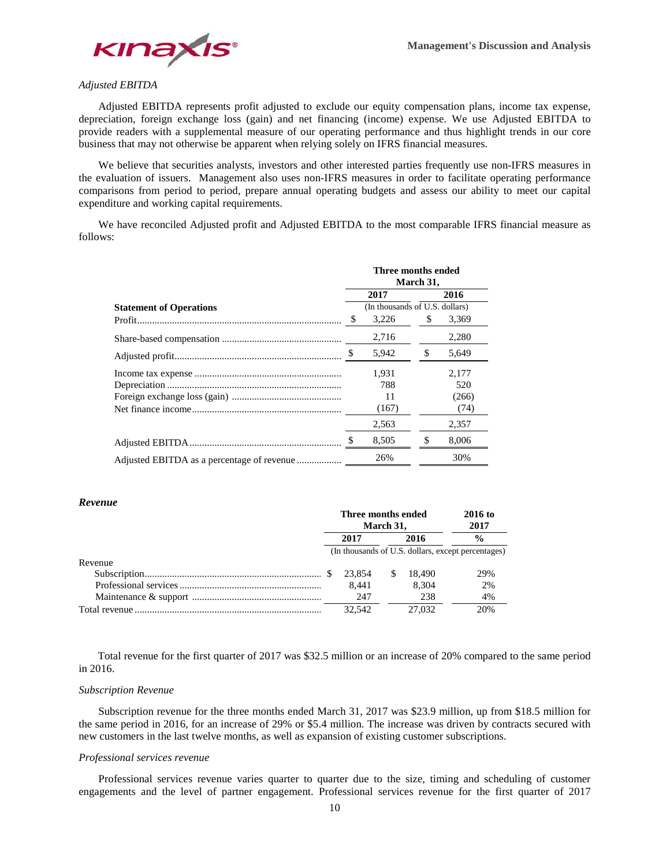

# *Adjusted EBITDA*

Adjusted EBITDA represents profit adjusted to exclude our equity compensation plans, income tax expense, depreciation, foreign exchange loss (gain) and net financing (income) expense. We use Adjusted EBITDA to provide readers with a supplemental measure of our operating performance and thus highlight trends in our core business that may not otherwise be apparent when relying solely on IFRS financial measures.

We believe that securities analysts, investors and other interested parties frequently use non-IFRS measures in the evaluation of issuers. Management also uses non-IFRS measures in order to facilitate operating performance comparisons from period to period, prepare annual operating budgets and assess our ability to meet our capital expenditure and working capital requirements.

We have reconciled Adjusted profit and Adjusted EBITDA to the most comparable IFRS financial measure as follows:

|                                | Three months ended<br>March 31, |                                |    |       |  |  |  |
|--------------------------------|---------------------------------|--------------------------------|----|-------|--|--|--|
|                                |                                 | 2017                           |    | 2016  |  |  |  |
| <b>Statement of Operations</b> |                                 | (In thousands of U.S. dollars) |    |       |  |  |  |
|                                | S                               | 3,226                          | S  | 3,369 |  |  |  |
|                                |                                 | 2,716                          |    | 2,280 |  |  |  |
|                                |                                 | 5,942                          | \$ | 5.649 |  |  |  |
|                                |                                 | 1,931                          |    | 2,177 |  |  |  |
|                                |                                 | 788                            |    | 520   |  |  |  |
|                                |                                 | 11                             |    | (266) |  |  |  |
|                                |                                 | (167)                          |    | (74)  |  |  |  |
|                                |                                 | 2,563                          |    | 2,357 |  |  |  |
|                                | S                               | 8,505                          | \$ | 8,006 |  |  |  |
|                                |                                 | 26%                            |    | 30%   |  |  |  |

## *Revenue*

|         | Three months ended<br>March 31. |        |    | 2016 to<br>2017 |                                                    |
|---------|---------------------------------|--------|----|-----------------|----------------------------------------------------|
|         |                                 | 2017   |    | 2016            | $\frac{0}{0}$                                      |
|         |                                 |        |    |                 | (In thousands of U.S. dollars, except percentages) |
| Revenue |                                 |        |    |                 |                                                    |
|         |                                 | 23.854 | -S | 18.490          | 29%                                                |
|         |                                 | 8.441  |    | 8.304           | 2%                                                 |
|         |                                 | 247    |    | 238             | 4%                                                 |
|         |                                 | 32.542 |    | 27,032          | 20%                                                |

 Total revenue for the first quarter of 2017 was \$32.5 million or an increase of 20% compared to the same period in 2016.

## *Subscription Revenue*

Subscription revenue for the three months ended March 31, 2017 was \$23.9 million, up from \$18.5 million for the same period in 2016, for an increase of 29% or \$5.4 million. The increase was driven by contracts secured with new customers in the last twelve months, as well as expansion of existing customer subscriptions.

## *Professional services revenue*

Professional services revenue varies quarter to quarter due to the size, timing and scheduling of customer engagements and the level of partner engagement. Professional services revenue for the first quarter of 2017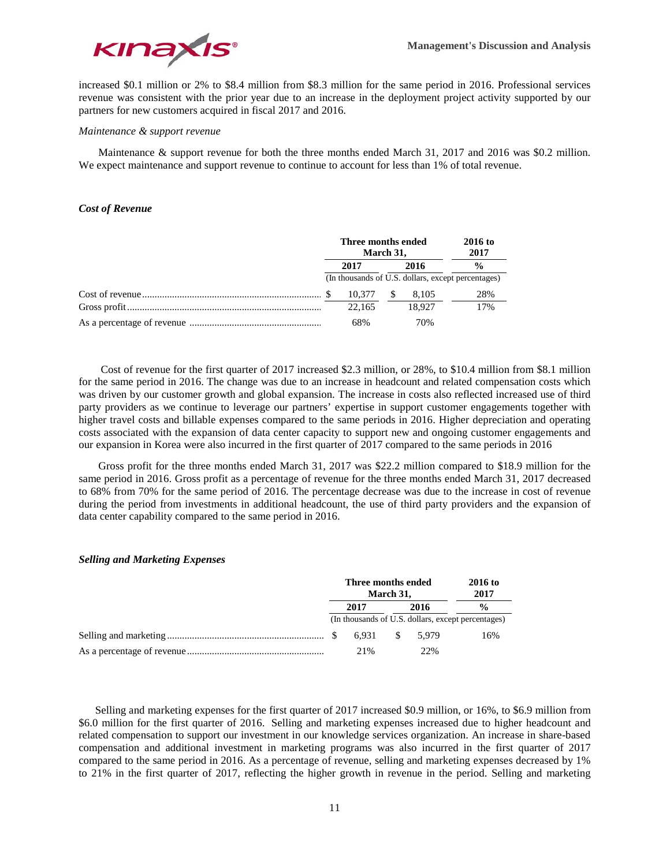

increased \$0.1 million or 2% to \$8.4 million from \$8.3 million for the same period in 2016. Professional services revenue was consistent with the prior year due to an increase in the deployment project activity supported by our partners for new customers acquired in fiscal 2017 and 2016.

## *Maintenance & support revenue*

Maintenance & support revenue for both the three months ended March 31, 2017 and 2016 was \$0.2 million. We expect maintenance and support revenue to continue to account for less than 1% of total revenue.

# *Cost of Revenue*

| Three months ended<br>March 31, |        |      |        | <b>2016 to</b><br>2017                             |
|---------------------------------|--------|------|--------|----------------------------------------------------|
| 2017                            |        | 2016 |        | $\frac{0}{0}$                                      |
|                                 |        |      |        | (In thousands of U.S. dollars, except percentages) |
|                                 | 10.377 |      | 8.105  | 28%                                                |
|                                 | 22.165 |      | 18.927 | 17%                                                |
|                                 | 68%    |      | 70%    |                                                    |

 Cost of revenue for the first quarter of 2017 increased \$2.3 million, or 28%, to \$10.4 million from \$8.1 million for the same period in 2016. The change was due to an increase in headcount and related compensation costs which was driven by our customer growth and global expansion. The increase in costs also reflected increased use of third party providers as we continue to leverage our partners' expertise in support customer engagements together with higher travel costs and billable expenses compared to the same periods in 2016. Higher depreciation and operating costs associated with the expansion of data center capacity to support new and ongoing customer engagements and our expansion in Korea were also incurred in the first quarter of 2017 compared to the same periods in 2016

Gross profit for the three months ended March 31, 2017 was \$22.2 million compared to \$18.9 million for the same period in 2016. Gross profit as a percentage of revenue for the three months ended March 31, 2017 decreased to 68% from 70% for the same period of 2016. The percentage decrease was due to the increase in cost of revenue during the period from investments in additional headcount, the use of third party providers and the expansion of data center capability compared to the same period in 2016.

## *Selling and Marketing Expenses*

| Three months ended<br>March 31, |       |      |       | 2016 to<br>2017                                    |
|---------------------------------|-------|------|-------|----------------------------------------------------|
| 2017                            |       | 2016 |       | $\frac{0}{0}$                                      |
|                                 |       |      |       | (In thousands of U.S. dollars, except percentages) |
|                                 | 6.931 | S.   | 5.979 | 16%                                                |
|                                 | 21\%  |      | 22%   |                                                    |

 Selling and marketing expenses for the first quarter of 2017 increased \$0.9 million, or 16%, to \$6.9 million from \$6.0 million for the first quarter of 2016. Selling and marketing expenses increased due to higher headcount and related compensation to support our investment in our knowledge services organization. An increase in share-based compensation and additional investment in marketing programs was also incurred in the first quarter of 2017 compared to the same period in 2016. As a percentage of revenue, selling and marketing expenses decreased by 1% to 21% in the first quarter of 2017, reflecting the higher growth in revenue in the period. Selling and marketing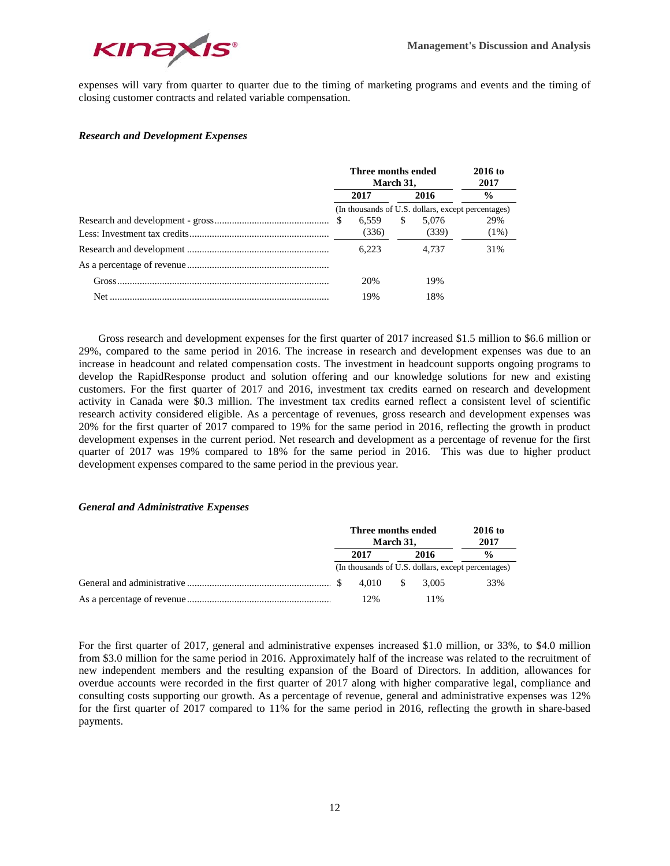

expenses will vary from quarter to quarter due to the timing of marketing programs and events and the timing of closing customer contracts and related variable compensation.

# *Research and Development Expenses*

| Three months ended<br>March 31, |       |    |                                                    |  | $2016$ to<br>2017 |
|---------------------------------|-------|----|----------------------------------------------------|--|-------------------|
| 2016<br>2017                    |       |    | $\frac{6}{9}$                                      |  |                   |
|                                 |       |    | (In thousands of U.S. dollars, except percentages) |  |                   |
| -S                              | 6.559 | \$ | 5.076                                              |  | 29%               |
|                                 | (336) |    | (339)                                              |  | $(1\%)$           |
|                                 | 6.223 |    | 4.737                                              |  | 31%               |
|                                 |       |    |                                                    |  |                   |
|                                 | 20%   |    | 19%                                                |  |                   |
|                                 | 19%   |    | 18%                                                |  |                   |

Gross research and development expenses for the first quarter of 2017 increased \$1.5 million to \$6.6 million or 29%, compared to the same period in 2016. The increase in research and development expenses was due to an increase in headcount and related compensation costs. The investment in headcount supports ongoing programs to develop the RapidResponse product and solution offering and our knowledge solutions for new and existing customers. For the first quarter of 2017 and 2016, investment tax credits earned on research and development activity in Canada were \$0.3 million. The investment tax credits earned reflect a consistent level of scientific research activity considered eligible. As a percentage of revenues, gross research and development expenses was 20% for the first quarter of 2017 compared to 19% for the same period in 2016, reflecting the growth in product development expenses in the current period. Net research and development as a percentage of revenue for the first quarter of 2017 was 19% compared to 18% for the same period in 2016. This was due to higher product development expenses compared to the same period in the previous year.

# *General and Administrative Expenses*

| Three months ended<br>March 31, |       |     | 2016 to<br>2017 |                                                    |
|---------------------------------|-------|-----|-----------------|----------------------------------------------------|
|                                 | 2017  |     | 2016            | $\frac{0}{0}$                                      |
|                                 |       |     |                 | (In thousands of U.S. dollars, except percentages) |
|                                 | 4.010 | -SS | 3.005           | 33%                                                |
|                                 | 12%   |     | 11%             |                                                    |

For the first quarter of 2017, general and administrative expenses increased \$1.0 million, or 33%, to \$4.0 million from \$3.0 million for the same period in 2016. Approximately half of the increase was related to the recruitment of new independent members and the resulting expansion of the Board of Directors. In addition, allowances for overdue accounts were recorded in the first quarter of 2017 along with higher comparative legal, compliance and consulting costs supporting our growth. As a percentage of revenue, general and administrative expenses was 12% for the first quarter of 2017 compared to 11% for the same period in 2016, reflecting the growth in share-based payments.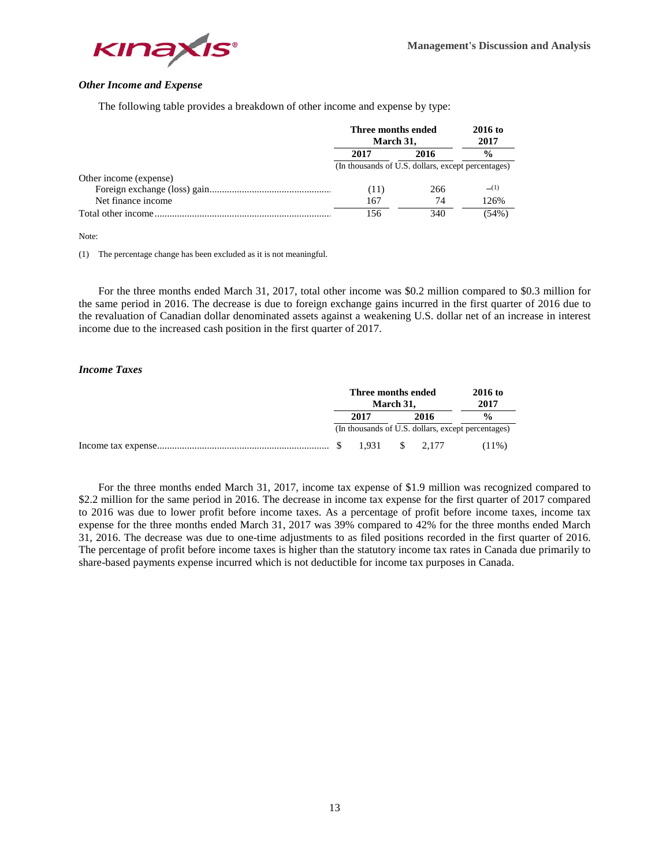

# *Other Income and Expense*

The following table provides a breakdown of other income and expense by type:

|                        |                                                    | Three months ended<br>2016 to<br>2017<br>March 31, |               |  |  |
|------------------------|----------------------------------------------------|----------------------------------------------------|---------------|--|--|
|                        | 2017                                               | 2016                                               | $\frac{0}{0}$ |  |  |
|                        | (In thousands of U.S. dollars, except percentages) |                                                    |               |  |  |
| Other income (expense) |                                                    |                                                    |               |  |  |
|                        | (11)                                               | 266                                                | (1)           |  |  |
| Net finance income     | 167                                                | 74                                                 | 126%          |  |  |
|                        | 156                                                | 340                                                | $(54\%)$      |  |  |

Note:

(1) The percentage change has been excluded as it is not meaningful.

For the three months ended March 31, 2017, total other income was \$0.2 million compared to \$0.3 million for the same period in 2016. The decrease is due to foreign exchange gains incurred in the first quarter of 2016 due to the revaluation of Canadian dollar denominated assets against a weakening U.S. dollar net of an increase in interest income due to the increased cash position in the first quarter of 2017.

## *Income Taxes*

| Three months ended<br>March 31, |       |  | 2016 to<br>2017                                    |                    |
|---------------------------------|-------|--|----------------------------------------------------|--------------------|
|                                 | 2017  |  | 2016                                               | $\frac{0}{\alpha}$ |
|                                 |       |  | (In thousands of U.S. dollars, except percentages) |                    |
|                                 | 1.931 |  | $\frac{1}{2}$ , 2,177                              | $(11\%)$           |

For the three months ended March 31, 2017, income tax expense of \$1.9 million was recognized compared to \$2.2 million for the same period in 2016. The decrease in income tax expense for the first quarter of 2017 compared to 2016 was due to lower profit before income taxes. As a percentage of profit before income taxes, income tax expense for the three months ended March 31, 2017 was 39% compared to 42% for the three months ended March 31, 2016. The decrease was due to one-time adjustments to as filed positions recorded in the first quarter of 2016. The percentage of profit before income taxes is higher than the statutory income tax rates in Canada due primarily to share-based payments expense incurred which is not deductible for income tax purposes in Canada.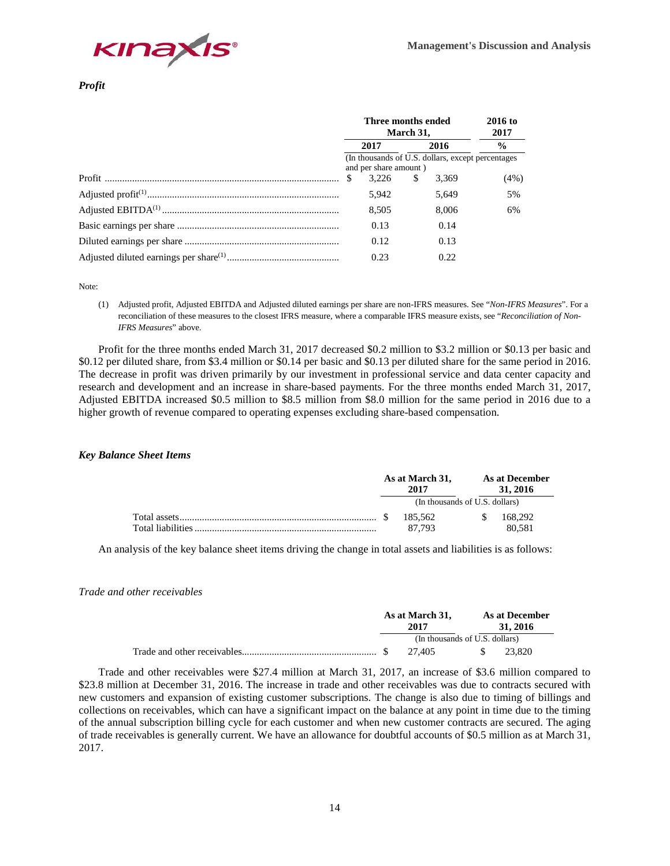

# *Profit*

| Three months ended<br>March 31,                                             | 2016 to<br>2017 |       |               |
|-----------------------------------------------------------------------------|-----------------|-------|---------------|
| 2017                                                                        |                 | 2016  | $\frac{6}{9}$ |
| (In thousands of U.S. dollars, except percentages)<br>and per share amount) |                 |       |               |
| -S<br>3.226                                                                 | S               | 3.369 | (4%)          |
| 5.942                                                                       |                 | 5,649 | 5%            |
| 8,505                                                                       |                 | 8.006 | 6%            |
| 0.13                                                                        |                 | 0.14  |               |
| 0.12                                                                        |                 | 0.13  |               |
| 0.23                                                                        |                 | 0.22. |               |

Note:

(1) Adjusted profit, Adjusted EBITDA and Adjusted diluted earnings per share are non-IFRS measures. See "*Non-IFRS Measures*". For a reconciliation of these measures to the closest IFRS measure, where a comparable IFRS measure exists, see "*Reconciliation of Non-IFRS Measures*" above.

Profit for the three months ended March 31, 2017 decreased \$0.2 million to \$3.2 million or \$0.13 per basic and \$0.12 per diluted share, from \$3.4 million or \$0.14 per basic and \$0.13 per diluted share for the same period in 2016. The decrease in profit was driven primarily by our investment in professional service and data center capacity and research and development and an increase in share-based payments. For the three months ended March 31, 2017, Adjusted EBITDA increased \$0.5 million to \$8.5 million from \$8.0 million for the same period in 2016 due to a higher growth of revenue compared to operating expenses excluding share-based compensation.

# *Key Balance Sheet Items*

| As at March 31,<br>2017 |                                | As at December<br>31, 2016 |         |  |  |
|-------------------------|--------------------------------|----------------------------|---------|--|--|
|                         | (In thousands of U.S. dollars) |                            |         |  |  |
| - S                     | 185.562                        |                            | 168,292 |  |  |
|                         | 87.793                         |                            | 80.581  |  |  |

An analysis of the key balance sheet items driving the change in total assets and liabilities is as follows:

## *Trade and other receivables*

| As at March 31,<br>2017        |        |  |  | As at December<br>31, 2016 |  |
|--------------------------------|--------|--|--|----------------------------|--|
| (In thousands of U.S. dollars) |        |  |  |                            |  |
|                                | 27.405 |  |  | 23,820                     |  |

Trade and other receivables were \$27.4 million at March 31, 2017, an increase of \$3.6 million compared to \$23.8 million at December 31, 2016. The increase in trade and other receivables was due to contracts secured with new customers and expansion of existing customer subscriptions. The change is also due to timing of billings and collections on receivables, which can have a significant impact on the balance at any point in time due to the timing of the annual subscription billing cycle for each customer and when new customer contracts are secured. The aging of trade receivables is generally current. We have an allowance for doubtful accounts of \$0.5 million as at March 31, 2017.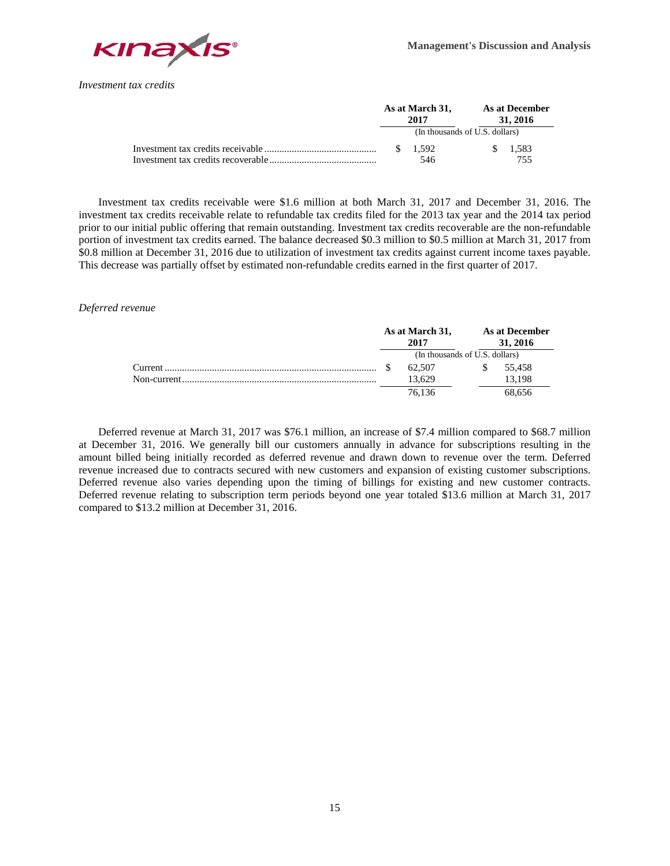

*Investment tax credits* 

|  | As at March 31,<br>2017        |    | As at December<br>31, 2016 |
|--|--------------------------------|----|----------------------------|
|  | (In thousands of U.S. dollars) |    |                            |
|  | \$1.592                        | S. | 1.583                      |
|  | 546                            |    | 755                        |

Investment tax credits receivable were \$1.6 million at both March 31, 2017 and December 31, 2016. The investment tax credits receivable relate to refundable tax credits filed for the 2013 tax year and the 2014 tax period prior to our initial public offering that remain outstanding. Investment tax credits recoverable are the non-refundable portion of investment tax credits earned. The balance decreased \$0.3 million to \$0.5 million at March 31, 2017 from \$0.8 million at December 31, 2016 due to utilization of investment tax credits against current income taxes payable. This decrease was partially offset by estimated non-refundable credits earned in the first quarter of 2017.

*Deferred revenue*

|  | As at March 31,<br>2017        | <b>As at December</b><br>31, 2016 |
|--|--------------------------------|-----------------------------------|
|  | (In thousands of U.S. dollars) |                                   |
|  | 62.507                         | 55.458                            |
|  | 13.629                         | 13.198                            |
|  | 76.136                         | 68.656                            |

Deferred revenue at March 31, 2017 was \$76.1 million, an increase of \$7.4 million compared to \$68.7 million at December 31, 2016. We generally bill our customers annually in advance for subscriptions resulting in the amount billed being initially recorded as deferred revenue and drawn down to revenue over the term. Deferred revenue increased due to contracts secured with new customers and expansion of existing customer subscriptions. Deferred revenue also varies depending upon the timing of billings for existing and new customer contracts. Deferred revenue relating to subscription term periods beyond one year totaled \$13.6 million at March 31, 2017 compared to \$13.2 million at December 31, 2016.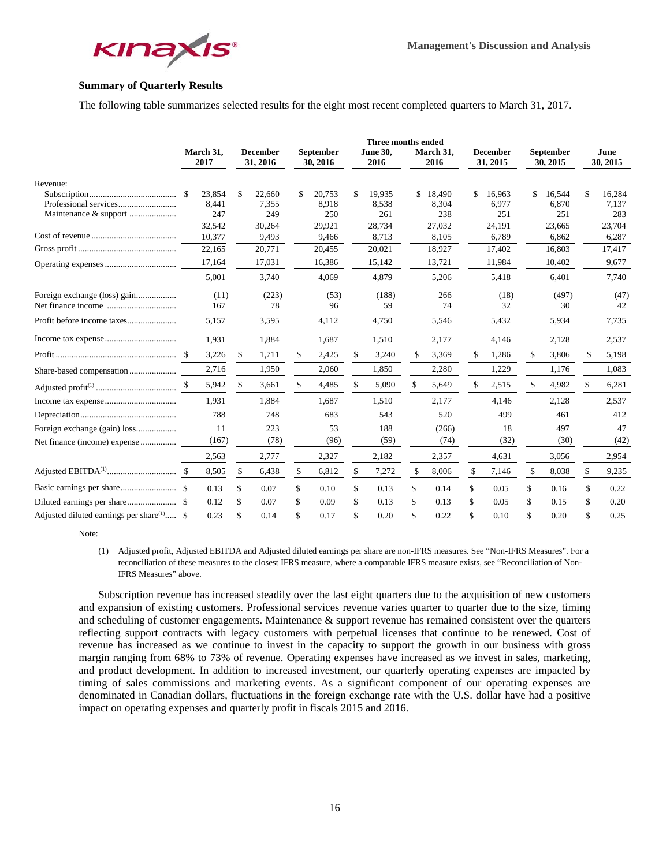

# **Summary of Quarterly Results**

The following table summarizes selected results for the eight most recent completed quarters to March 31, 2017.

|                                              |                   |                             |                       | Three months ended      |     |                   |                             |               |                       |                  |
|----------------------------------------------|-------------------|-----------------------------|-----------------------|-------------------------|-----|-------------------|-----------------------------|---------------|-----------------------|------------------|
|                                              | March 31,<br>2017 | <b>December</b><br>31, 2016 | September<br>30, 2016 | <b>June 30,</b><br>2016 |     | March 31,<br>2016 | <b>December</b><br>31, 2015 |               | September<br>30, 2015 | June<br>30, 2015 |
| Revenue:                                     |                   |                             |                       |                         |     |                   |                             |               |                       |                  |
|                                              | \$<br>23,854      | \$<br>22,660                | \$<br>20,753          | \$<br>19,935            | \$  | 18,490            | \$<br>16,963                | \$            | 16,544                | \$<br>16,284     |
|                                              | 8,441             | 7,355                       | 8,918                 | 8,538                   |     | 8,304             | 6,977                       |               | 6,870                 | 7,137            |
| Maintenance & support                        | 247               | 249                         | 250                   | 261                     |     | 238               | 251                         |               | 251                   | 283              |
|                                              | 32,542            | 30,264                      | 29,921                | 28,734                  |     | 27,032            | 24,191                      |               | 23,665                | 23,704           |
|                                              | 10,377            | 9,493                       | 9,466                 | 8,713                   |     | 8,105             | 6,789                       |               | 6,862                 | 6,287            |
|                                              | 22,165            | 20,771                      | 20,455                | 20,021                  |     | 18,927            | 17,402                      |               | 16,803                | 17,417           |
|                                              | 17,164            | 17,031                      | 16,386                | 15,142                  |     | 13,721            | 11,984                      |               | 10,402                | 9,677            |
|                                              | 5,001             | 3,740                       | 4,069                 | 4,879                   |     | 5,206             | 5,418                       |               | 6,401                 | 7,740            |
|                                              | (11)              | (223)                       | (53)                  | (188)                   |     | 266               | (18)                        |               | (497)                 | (47)             |
|                                              | 167               | 78                          | 96                    | 59                      |     | 74                | 32                          |               | 30                    | 42               |
|                                              | 5,157             | 3,595                       | 4,112                 | 4,750                   |     | 5,546             | 5,432                       |               | 5,934                 | 7,735            |
|                                              | 1,931             | 1,884                       | 1,687                 | 1,510                   |     | 2,177             | 4,146                       |               | 2,128                 | 2,537            |
|                                              | 3,226             | \$<br>1,711                 | \$<br>2,425           | \$<br>3,240             | \$  | 3,369             | \$<br>1,286                 | \$            | 3,806                 | \$<br>5,198      |
|                                              | 2,716             | 1,950                       | 2,060                 | 1,850                   |     | 2,280             | 1,229                       |               | 1.176                 | 1,083            |
|                                              | \$<br>5,942       | \$<br>3,661                 | \$<br>4,485           | \$<br>5,090             | \$. | 5,649             | \$<br>2,515                 | $\mathbf{\$}$ | 4,982                 | \$<br>6,281      |
|                                              | 1,931             | 1,884                       | 1,687                 | 1,510                   |     | 2,177             | 4,146                       |               | 2,128                 | 2,537            |
|                                              | 788               | 748                         | 683                   | 543                     |     | 520               | 499                         |               | 461                   | 412              |
|                                              | 11                | 223                         | 53                    | 188                     |     | (266)             | 18                          |               | 497                   | 47               |
|                                              | (167)             | (78)                        | (96)                  | (59)                    |     | (74)              | (32)                        |               | (30)                  | (42)             |
|                                              | 2,563             | 2,777                       | 2,327                 | 2,182                   |     | 2,357             | 4,631                       |               | 3,056                 | 2,954            |
|                                              | 8,505             | \$<br>6,438                 | \$<br>6,812           | \$<br>7,272             | \$  | 8,006             | \$<br>7,146                 | \$            | 8,038                 | \$<br>9,235      |
|                                              | 0.13              | \$<br>0.07                  | \$<br>0.10            | \$<br>0.13              | \$  | 0.14              | \$<br>0.05                  | \$            | 0.16                  | \$<br>0.22       |
|                                              | 0.12              | \$<br>0.07                  | \$<br>0.09            | \$<br>0.13              | \$  | 0.13              | \$<br>0.05                  | \$            | 0.15                  | \$<br>0.20       |
| Adjusted diluted earnings per share $(1)$ \$ | 0.23              | \$<br>0.14                  | \$<br>0.17            | \$<br>0.20              | \$  | 0.22              | \$<br>0.10                  | \$            | 0.20                  | \$<br>0.25       |

Note:

(1) Adjusted profit, Adjusted EBITDA and Adjusted diluted earnings per share are non-IFRS measures. See "Non-IFRS Measures". For a reconciliation of these measures to the closest IFRS measure, where a comparable IFRS measure exists, see "Reconciliation of Non-IFRS Measures" above.

Subscription revenue has increased steadily over the last eight quarters due to the acquisition of new customers and expansion of existing customers. Professional services revenue varies quarter to quarter due to the size, timing and scheduling of customer engagements. Maintenance & support revenue has remained consistent over the quarters reflecting support contracts with legacy customers with perpetual licenses that continue to be renewed. Cost of revenue has increased as we continue to invest in the capacity to support the growth in our business with gross margin ranging from 68% to 73% of revenue. Operating expenses have increased as we invest in sales, marketing, and product development. In addition to increased investment, our quarterly operating expenses are impacted by timing of sales commissions and marketing events. As a significant component of our operating expenses are denominated in Canadian dollars, fluctuations in the foreign exchange rate with the U.S. dollar have had a positive impact on operating expenses and quarterly profit in fiscals 2015 and 2016.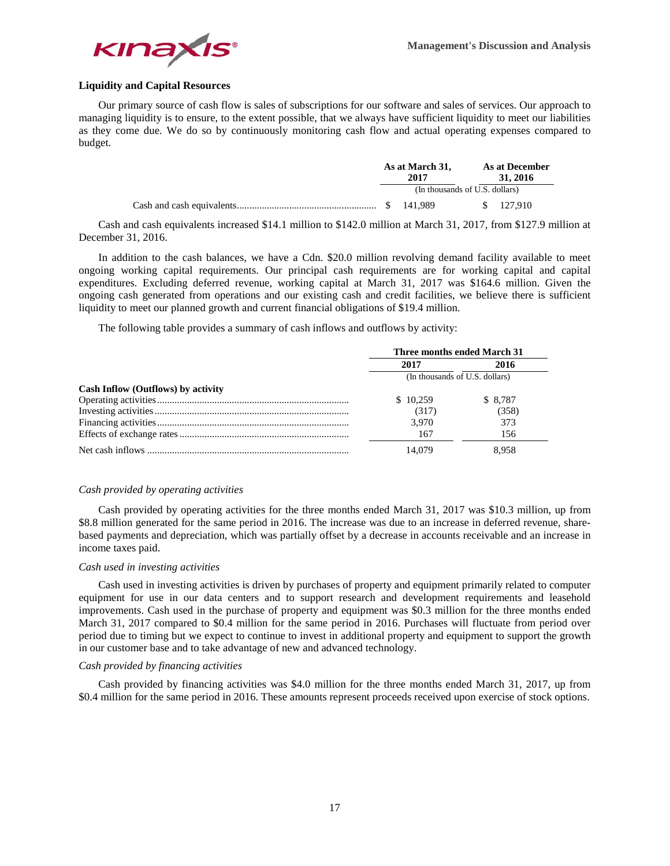

# **Liquidity and Capital Resources**

Our primary source of cash flow is sales of subscriptions for our software and sales of services. Our approach to managing liquidity is to ensure, to the extent possible, that we always have sufficient liquidity to meet our liabilities as they come due. We do so by continuously monitoring cash flow and actual operating expenses compared to budget.

|  | As at March 31,<br>2017        |  | As at December<br>31, 2016 |
|--|--------------------------------|--|----------------------------|
|  | (In thousands of U.S. dollars) |  |                            |
|  |                                |  | \$ 127,910                 |

Cash and cash equivalents increased \$14.1 million to \$142.0 million at March 31, 2017, from \$127.9 million at December 31, 2016.

In addition to the cash balances, we have a Cdn. \$20.0 million revolving demand facility available to meet ongoing working capital requirements. Our principal cash requirements are for working capital and capital expenditures. Excluding deferred revenue, working capital at March 31, 2017 was \$164.6 million. Given the ongoing cash generated from operations and our existing cash and credit facilities, we believe there is sufficient liquidity to meet our planned growth and current financial obligations of \$19.4 million.

The following table provides a summary of cash inflows and outflows by activity:

|                                           | Three months ended March 31    |          |  |  |  |  |
|-------------------------------------------|--------------------------------|----------|--|--|--|--|
|                                           | 2017                           | 2016     |  |  |  |  |
|                                           | (In thousands of U.S. dollars) |          |  |  |  |  |
| <b>Cash Inflow (Outflows) by activity</b> |                                |          |  |  |  |  |
|                                           | \$10.259                       | \$ 8.787 |  |  |  |  |
|                                           | (317)                          | (358)    |  |  |  |  |
|                                           | 3.970                          | 373      |  |  |  |  |
|                                           | 167                            | 156      |  |  |  |  |
|                                           | 14.079                         | 8.958    |  |  |  |  |

#### *Cash provided by operating activities*

Cash provided by operating activities for the three months ended March 31, 2017 was \$10.3 million, up from \$8.8 million generated for the same period in 2016. The increase was due to an increase in deferred revenue, sharebased payments and depreciation, which was partially offset by a decrease in accounts receivable and an increase in income taxes paid.

#### *Cash used in investing activities*

Cash used in investing activities is driven by purchases of property and equipment primarily related to computer equipment for use in our data centers and to support research and development requirements and leasehold improvements. Cash used in the purchase of property and equipment was \$0.3 million for the three months ended March 31, 2017 compared to \$0.4 million for the same period in 2016. Purchases will fluctuate from period over period due to timing but we expect to continue to invest in additional property and equipment to support the growth in our customer base and to take advantage of new and advanced technology.

## *Cash provided by financing activities*

Cash provided by financing activities was \$4.0 million for the three months ended March 31, 2017, up from \$0.4 million for the same period in 2016. These amounts represent proceeds received upon exercise of stock options.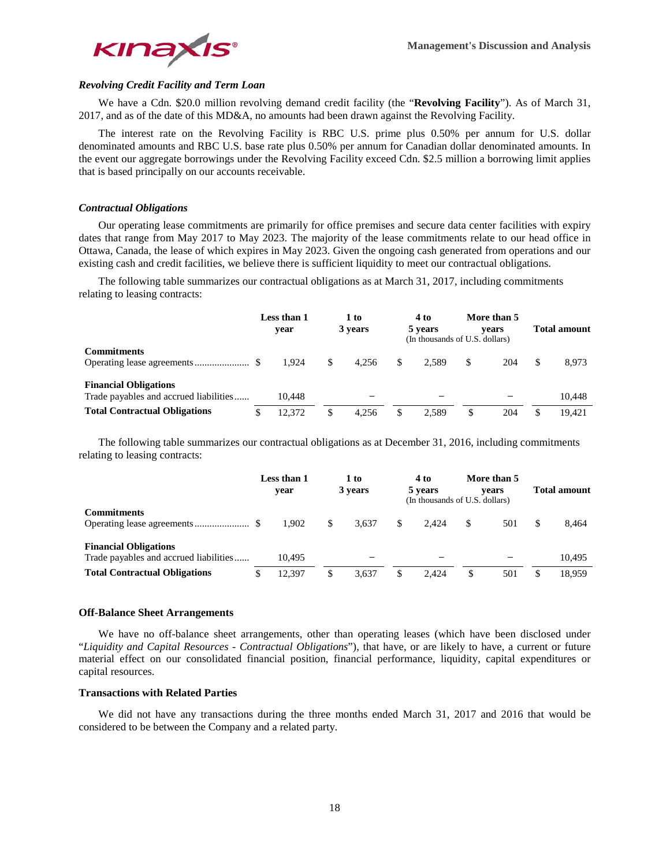

# *Revolving Credit Facility and Term Loan*

We have a Cdn. \$20.0 million revolving demand credit facility (the "**Revolving Facility**"). As of March 31, 2017, and as of the date of this MD&A, no amounts had been drawn against the Revolving Facility.

The interest rate on the Revolving Facility is RBC U.S. prime plus 0.50% per annum for U.S. dollar denominated amounts and RBC U.S. base rate plus 0.50% per annum for Canadian dollar denominated amounts. In the event our aggregate borrowings under the Revolving Facility exceed Cdn. \$2.5 million a borrowing limit applies that is based principally on our accounts receivable.

## *Contractual Obligations*

Our operating lease commitments are primarily for office premises and secure data center facilities with expiry dates that range from May 2017 to May 2023. The majority of the lease commitments relate to our head office in Ottawa, Canada, the lease of which expires in May 2023. Given the ongoing cash generated from operations and our existing cash and credit facilities, we believe there is sufficient liquidity to meet our contractual obligations.

The following table summarizes our contractual obligations as at March 31, 2017, including commitments relating to leasing contracts:

|                                                                        | Less than 1<br>vear |        | 1 to<br>3 years |       |   | 4 to<br>5 years | More than 5<br>vears<br>(In thousands of U.S. dollars) |     | <b>Total amount</b> |        |
|------------------------------------------------------------------------|---------------------|--------|-----------------|-------|---|-----------------|--------------------------------------------------------|-----|---------------------|--------|
| <b>Commitments</b>                                                     |                     | 1.924  | \$              | 4.256 | S | 2.589           |                                                        | 204 | \$                  | 8,973  |
| <b>Financial Obligations</b><br>Trade payables and accrued liabilities |                     | 10.448 |                 |       |   |                 |                                                        |     |                     | 10.448 |
| <b>Total Contractual Obligations</b>                                   | \$.                 | 12.372 | \$              | 4.256 | S | 2.589           | \$.                                                    | 204 |                     | 19.421 |

The following table summarizes our contractual obligations as at December 31, 2016, including commitments relating to leasing contracts:

|                                                                        | Less than 1<br>vear |        | 1 to<br>3 years |       | 4 to<br>5 years |       | More than 5<br>vears<br>(In thousands of U.S. dollars) |     | <b>Total amount</b> |
|------------------------------------------------------------------------|---------------------|--------|-----------------|-------|-----------------|-------|--------------------------------------------------------|-----|---------------------|
| <b>Commitments</b>                                                     |                     | 1.902  | \$              | 3.637 | S               | 2.424 | S                                                      | 501 | 8.464               |
| <b>Financial Obligations</b><br>Trade payables and accrued liabilities |                     | 10.495 |                 |       |                 |       |                                                        |     | 10.495              |
| <b>Total Contractual Obligations</b>                                   |                     | 12.397 | \$              | 3.637 | S               | 2.424 |                                                        | 501 | 18.959              |

## **Off-Balance Sheet Arrangements**

We have no off-balance sheet arrangements, other than operating leases (which have been disclosed under "*Liquidity and Capital Resources - Contractual Obligations*"), that have, or are likely to have, a current or future material effect on our consolidated financial position, financial performance, liquidity, capital expenditures or capital resources.

# **Transactions with Related Parties**

We did not have any transactions during the three months ended March 31, 2017 and 2016 that would be considered to be between the Company and a related party.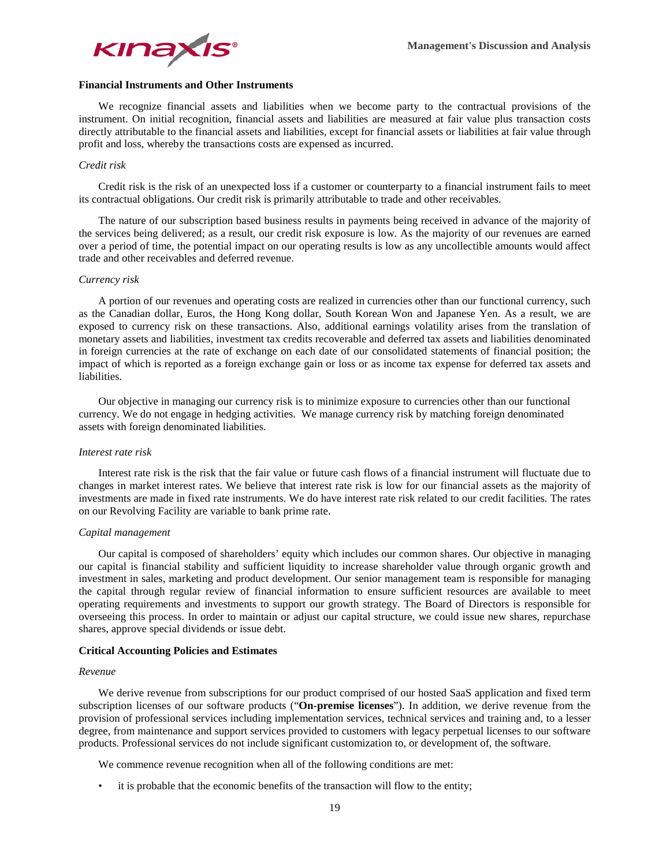

# **Financial Instruments and Other Instruments**

We recognize financial assets and liabilities when we become party to the contractual provisions of the instrument. On initial recognition, financial assets and liabilities are measured at fair value plus transaction costs directly attributable to the financial assets and liabilities, except for financial assets or liabilities at fair value through profit and loss, whereby the transactions costs are expensed as incurred.

## *Credit risk*

Credit risk is the risk of an unexpected loss if a customer or counterparty to a financial instrument fails to meet its contractual obligations. Our credit risk is primarily attributable to trade and other receivables.

The nature of our subscription based business results in payments being received in advance of the majority of the services being delivered; as a result, our credit risk exposure is low. As the majority of our revenues are earned over a period of time, the potential impact on our operating results is low as any uncollectible amounts would affect trade and other receivables and deferred revenue.

## *Currency risk*

A portion of our revenues and operating costs are realized in currencies other than our functional currency, such as the Canadian dollar, Euros, the Hong Kong dollar, South Korean Won and Japanese Yen. As a result, we are exposed to currency risk on these transactions. Also, additional earnings volatility arises from the translation of monetary assets and liabilities, investment tax credits recoverable and deferred tax assets and liabilities denominated in foreign currencies at the rate of exchange on each date of our consolidated statements of financial position; the impact of which is reported as a foreign exchange gain or loss or as income tax expense for deferred tax assets and liabilities.

Our objective in managing our currency risk is to minimize exposure to currencies other than our functional currency. We do not engage in hedging activities. We manage currency risk by matching foreign denominated assets with foreign denominated liabilities.

## *Interest rate risk*

Interest rate risk is the risk that the fair value or future cash flows of a financial instrument will fluctuate due to changes in market interest rates. We believe that interest rate risk is low for our financial assets as the majority of investments are made in fixed rate instruments. We do have interest rate risk related to our credit facilities. The rates on our Revolving Facility are variable to bank prime rate.

## *Capital management*

Our capital is composed of shareholders' equity which includes our common shares. Our objective in managing our capital is financial stability and sufficient liquidity to increase shareholder value through organic growth and investment in sales, marketing and product development. Our senior management team is responsible for managing the capital through regular review of financial information to ensure sufficient resources are available to meet operating requirements and investments to support our growth strategy. The Board of Directors is responsible for overseeing this process. In order to maintain or adjust our capital structure, we could issue new shares, repurchase shares, approve special dividends or issue debt.

## **Critical Accounting Policies and Estimates**

## *Revenue*

We derive revenue from subscriptions for our product comprised of our hosted SaaS application and fixed term subscription licenses of our software products ("**On-premise licenses**"). In addition, we derive revenue from the provision of professional services including implementation services, technical services and training and, to a lesser degree, from maintenance and support services provided to customers with legacy perpetual licenses to our software products. Professional services do not include significant customization to, or development of, the software.

We commence revenue recognition when all of the following conditions are met:

• it is probable that the economic benefits of the transaction will flow to the entity;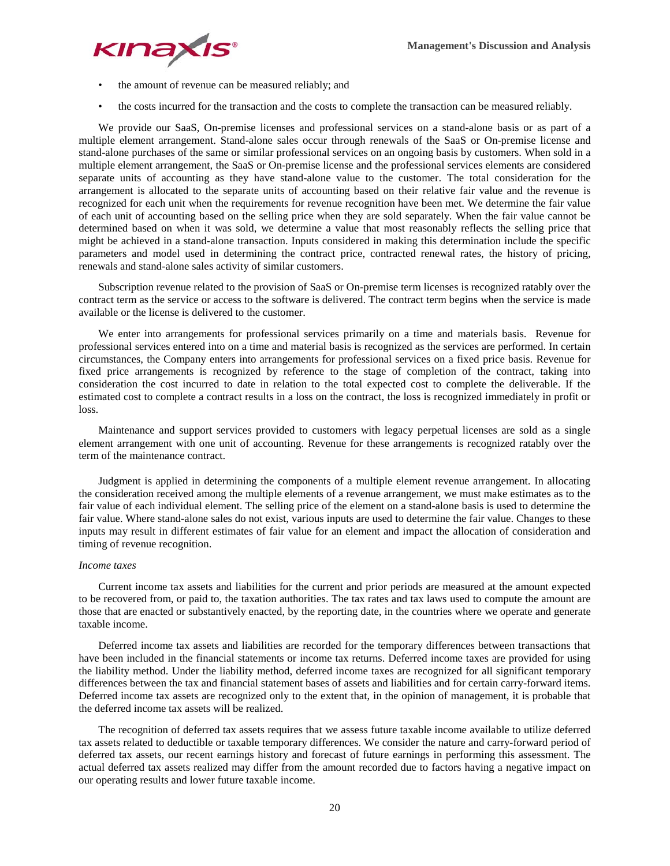

- the amount of revenue can be measured reliably; and
- the costs incurred for the transaction and the costs to complete the transaction can be measured reliably.

We provide our SaaS, On-premise licenses and professional services on a stand-alone basis or as part of a multiple element arrangement. Stand-alone sales occur through renewals of the SaaS or On-premise license and stand-alone purchases of the same or similar professional services on an ongoing basis by customers. When sold in a multiple element arrangement, the SaaS or On-premise license and the professional services elements are considered separate units of accounting as they have stand-alone value to the customer. The total consideration for the arrangement is allocated to the separate units of accounting based on their relative fair value and the revenue is recognized for each unit when the requirements for revenue recognition have been met. We determine the fair value of each unit of accounting based on the selling price when they are sold separately. When the fair value cannot be determined based on when it was sold, we determine a value that most reasonably reflects the selling price that might be achieved in a stand-alone transaction. Inputs considered in making this determination include the specific parameters and model used in determining the contract price, contracted renewal rates, the history of pricing, renewals and stand-alone sales activity of similar customers.

Subscription revenue related to the provision of SaaS or On-premise term licenses is recognized ratably over the contract term as the service or access to the software is delivered. The contract term begins when the service is made available or the license is delivered to the customer.

We enter into arrangements for professional services primarily on a time and materials basis. Revenue for professional services entered into on a time and material basis is recognized as the services are performed. In certain circumstances, the Company enters into arrangements for professional services on a fixed price basis. Revenue for fixed price arrangements is recognized by reference to the stage of completion of the contract, taking into consideration the cost incurred to date in relation to the total expected cost to complete the deliverable. If the estimated cost to complete a contract results in a loss on the contract, the loss is recognized immediately in profit or loss.

Maintenance and support services provided to customers with legacy perpetual licenses are sold as a single element arrangement with one unit of accounting. Revenue for these arrangements is recognized ratably over the term of the maintenance contract.

Judgment is applied in determining the components of a multiple element revenue arrangement. In allocating the consideration received among the multiple elements of a revenue arrangement, we must make estimates as to the fair value of each individual element. The selling price of the element on a stand-alone basis is used to determine the fair value. Where stand-alone sales do not exist, various inputs are used to determine the fair value. Changes to these inputs may result in different estimates of fair value for an element and impact the allocation of consideration and timing of revenue recognition.

# *Income taxes*

Current income tax assets and liabilities for the current and prior periods are measured at the amount expected to be recovered from, or paid to, the taxation authorities. The tax rates and tax laws used to compute the amount are those that are enacted or substantively enacted, by the reporting date, in the countries where we operate and generate taxable income.

Deferred income tax assets and liabilities are recorded for the temporary differences between transactions that have been included in the financial statements or income tax returns. Deferred income taxes are provided for using the liability method. Under the liability method, deferred income taxes are recognized for all significant temporary differences between the tax and financial statement bases of assets and liabilities and for certain carry-forward items. Deferred income tax assets are recognized only to the extent that, in the opinion of management, it is probable that the deferred income tax assets will be realized.

The recognition of deferred tax assets requires that we assess future taxable income available to utilize deferred tax assets related to deductible or taxable temporary differences. We consider the nature and carry-forward period of deferred tax assets, our recent earnings history and forecast of future earnings in performing this assessment. The actual deferred tax assets realized may differ from the amount recorded due to factors having a negative impact on our operating results and lower future taxable income.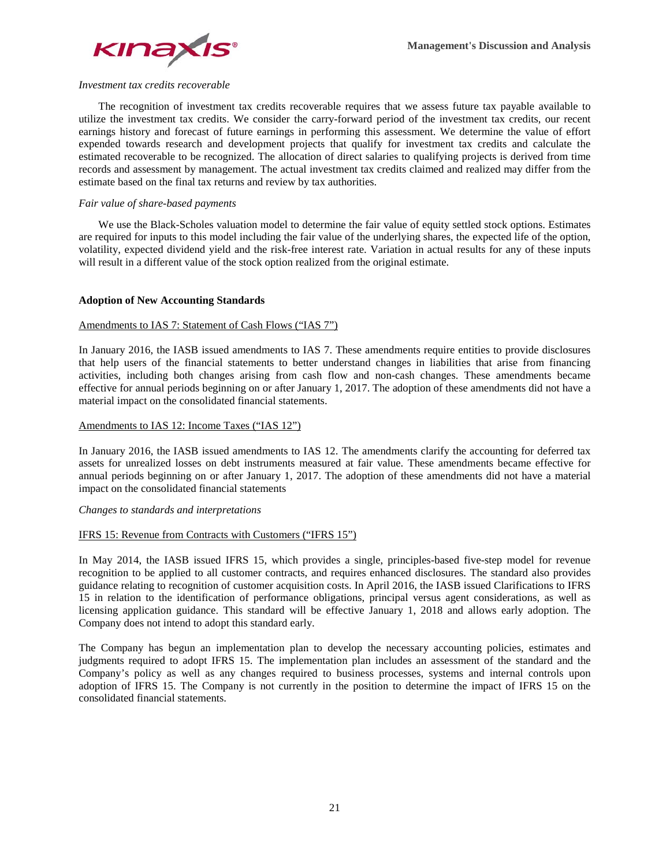

## *Investment tax credits recoverable*

The recognition of investment tax credits recoverable requires that we assess future tax payable available to utilize the investment tax credits. We consider the carry-forward period of the investment tax credits, our recent earnings history and forecast of future earnings in performing this assessment. We determine the value of effort expended towards research and development projects that qualify for investment tax credits and calculate the estimated recoverable to be recognized. The allocation of direct salaries to qualifying projects is derived from time records and assessment by management. The actual investment tax credits claimed and realized may differ from the estimate based on the final tax returns and review by tax authorities.

# *Fair value of share-based payments*

We use the Black-Scholes valuation model to determine the fair value of equity settled stock options. Estimates are required for inputs to this model including the fair value of the underlying shares, the expected life of the option, volatility, expected dividend yield and the risk-free interest rate. Variation in actual results for any of these inputs will result in a different value of the stock option realized from the original estimate.

## **Adoption of New Accounting Standards**

## Amendments to IAS 7: Statement of Cash Flows ("IAS 7")

In January 2016, the IASB issued amendments to IAS 7. These amendments require entities to provide disclosures that help users of the financial statements to better understand changes in liabilities that arise from financing activities, including both changes arising from cash flow and non-cash changes. These amendments became effective for annual periods beginning on or after January 1, 2017. The adoption of these amendments did not have a material impact on the consolidated financial statements.

## Amendments to IAS 12: Income Taxes ("IAS 12")

In January 2016, the IASB issued amendments to IAS 12. The amendments clarify the accounting for deferred tax assets for unrealized losses on debt instruments measured at fair value. These amendments became effective for annual periods beginning on or after January 1, 2017. The adoption of these amendments did not have a material impact on the consolidated financial statements

## *Changes to standards and interpretations*

# IFRS 15: Revenue from Contracts with Customers ("IFRS 15")

In May 2014, the IASB issued IFRS 15, which provides a single, principles-based five-step model for revenue recognition to be applied to all customer contracts, and requires enhanced disclosures. The standard also provides guidance relating to recognition of customer acquisition costs. In April 2016, the IASB issued Clarifications to IFRS 15 in relation to the identification of performance obligations, principal versus agent considerations, as well as licensing application guidance. This standard will be effective January 1, 2018 and allows early adoption. The Company does not intend to adopt this standard early.

The Company has begun an implementation plan to develop the necessary accounting policies, estimates and judgments required to adopt IFRS 15. The implementation plan includes an assessment of the standard and the Company's policy as well as any changes required to business processes, systems and internal controls upon adoption of IFRS 15. The Company is not currently in the position to determine the impact of IFRS 15 on the consolidated financial statements.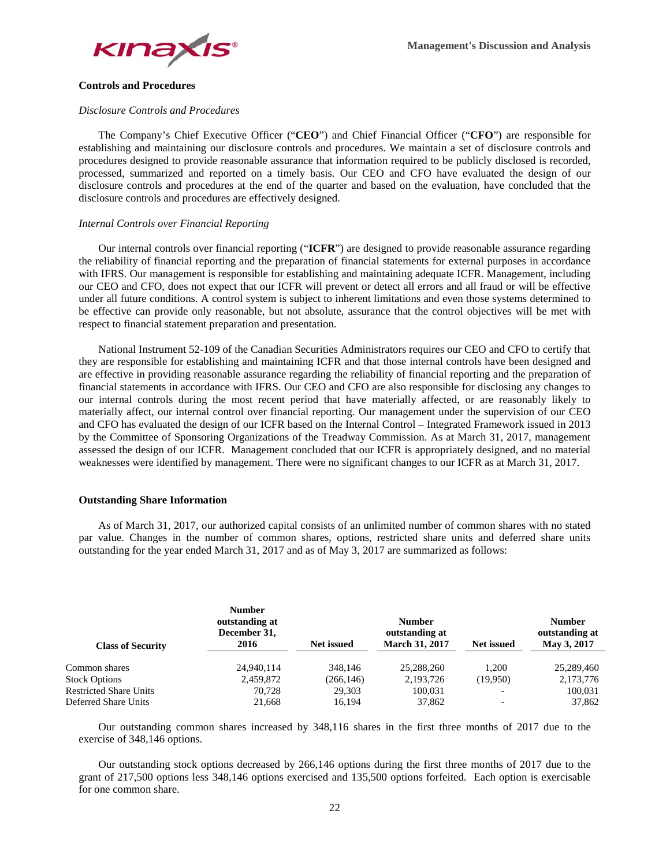

## **Controls and Procedures**

## *Disclosure Controls and Procedures*

The Company's Chief Executive Officer ("**CEO**") and Chief Financial Officer ("**CFO**") are responsible for establishing and maintaining our disclosure controls and procedures. We maintain a set of disclosure controls and procedures designed to provide reasonable assurance that information required to be publicly disclosed is recorded, processed, summarized and reported on a timely basis. Our CEO and CFO have evaluated the design of our disclosure controls and procedures at the end of the quarter and based on the evaluation, have concluded that the disclosure controls and procedures are effectively designed.

## *Internal Controls over Financial Reporting*

Our internal controls over financial reporting ("**ICFR**") are designed to provide reasonable assurance regarding the reliability of financial reporting and the preparation of financial statements for external purposes in accordance with IFRS. Our management is responsible for establishing and maintaining adequate ICFR. Management, including our CEO and CFO, does not expect that our ICFR will prevent or detect all errors and all fraud or will be effective under all future conditions. A control system is subject to inherent limitations and even those systems determined to be effective can provide only reasonable, but not absolute, assurance that the control objectives will be met with respect to financial statement preparation and presentation.

National Instrument 52-109 of the Canadian Securities Administrators requires our CEO and CFO to certify that they are responsible for establishing and maintaining ICFR and that those internal controls have been designed and are effective in providing reasonable assurance regarding the reliability of financial reporting and the preparation of financial statements in accordance with IFRS. Our CEO and CFO are also responsible for disclosing any changes to our internal controls during the most recent period that have materially affected, or are reasonably likely to materially affect, our internal control over financial reporting. Our management under the supervision of our CEO and CFO has evaluated the design of our ICFR based on the Internal Control – Integrated Framework issued in 2013 by the Committee of Sponsoring Organizations of the Treadway Commission. As at March 31, 2017, management assessed the design of our ICFR. Management concluded that our ICFR is appropriately designed, and no material weaknesses were identified by management. There were no significant changes to our ICFR as at March 31, 2017.

## **Outstanding Share Information**

As of March 31, 2017, our authorized capital consists of an unlimited number of common shares with no stated par value. Changes in the number of common shares, options, restricted share units and deferred share units outstanding for the year ended March 31, 2017 and as of May 3, 2017 are summarized as follows:

| <b>Class of Security</b>      | <b>Number</b><br>outstanding at<br>December 31,<br>2016 | <b>Net issued</b> | <b>Number</b><br>outstanding at<br><b>March 31, 2017</b> | <b>Net issued</b>        | <b>Number</b><br>outstanding at<br>May 3, 2017 |
|-------------------------------|---------------------------------------------------------|-------------------|----------------------------------------------------------|--------------------------|------------------------------------------------|
| Common shares                 | 24.940.114                                              | 348,146           | 25,288,260                                               | 1.200                    | 25,289,460                                     |
| <b>Stock Options</b>          | 2,459,872                                               | (266, 146)        | 2,193,726                                                | (19,950)                 | 2,173,776                                      |
| <b>Restricted Share Units</b> | 70.728                                                  | 29.303            | 100,031                                                  | $\overline{\phantom{a}}$ | 100,031                                        |
| Deferred Share Units          | 21,668                                                  | 16,194            | 37,862                                                   | $\overline{\phantom{a}}$ | 37,862                                         |

Our outstanding common shares increased by 348,116 shares in the first three months of 2017 due to the exercise of 348,146 options.

Our outstanding stock options decreased by 266,146 options during the first three months of 2017 due to the grant of 217,500 options less 348,146 options exercised and 135,500 options forfeited. Each option is exercisable for one common share.